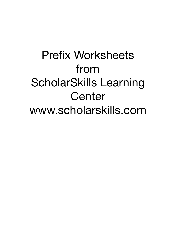# Prefix Worksheets from ScholarSkills Learning **Center** www.scholarskills.com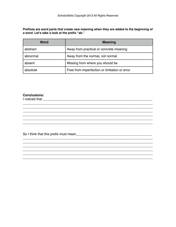Prefixes are word parts that create new meaning when they are added to the beginning of a word. Let's take a look at the prefix "ab."

| <b>Word</b> | <b>Meaning</b>                                |
|-------------|-----------------------------------------------|
| abstract    | Away from practical or concrete meaning       |
| abnormal    | Away from the normal, not normal              |
| absent      | Missing from where you should be              |
| absolute    | Free from imperfection or limitation or error |

<u> 1989 - Johann Stoff, deutscher Stoff, der Stoff, der Stoff, der Stoff, der Stoff, der Stoff, der Stoff, der S</u>

# **Conclusions:**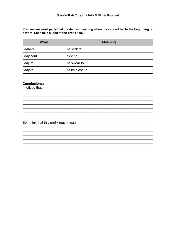Prefixes are word parts that create new meaning when they are added to the beginning of a word. Let's take a look at the prefix "ad."

| <b>Word</b> | <b>Meaning</b> |
|-------------|----------------|
| adhere      | To stick to    |
| adjacent    | Next to        |
| adjure      | To swear to    |
| adjoin      | To be close to |

## **Conclusions:**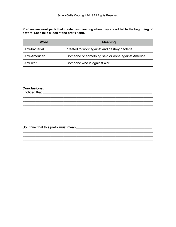Prefixes are word parts that create new meaning when they are added to the beginning of a word. Let's take a look at the prefix "anti."

| <b>Word</b>    | <b>Meaning</b>                                    |
|----------------|---------------------------------------------------|
| Anti-bacterial | created to work against and destroy bacteria      |
| Anti-American  | Someone or something said or done against America |
| Anti-war       | Someone who is against war                        |

## **Conclusions:**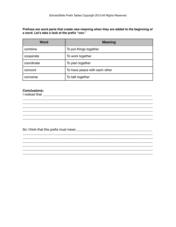Prefixes are word parts that create new meaning when they are added to the beginning of a word. Let's take a look at the prefix "con."

| <b>Word</b> | <b>Meaning</b>                |
|-------------|-------------------------------|
| combine     | To put things together        |
| cooperate   | To work together              |
| coordinate  | To plan together              |
| concord     | To have peace with each other |
| converse    | To talk together              |

<u> 1989 - Johann Harry Harry Harry Harry Harry Harry Harry Harry Harry Harry Harry Harry Harry Harry Harry Harry</u>

## **Conclusions:**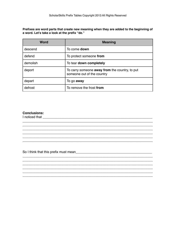Prefixes are word parts that create new meaning when they are added to the beginning of a word. Let's take a look at the prefix "de."

| <b>Word</b> | <b>Meaning</b>                                                               |
|-------------|------------------------------------------------------------------------------|
| descend     | To come down                                                                 |
| defend      | To protect someone from                                                      |
| demolish    | To tear down completely                                                      |
| deport      | To carry someone away from the country, to put<br>someone out of the country |
| depart      | To go <b>away</b>                                                            |
| defrost     | To remove the frost from                                                     |

## **Conclusions:**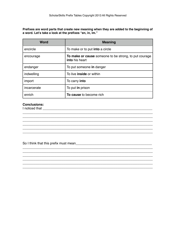**Prefixes are word parts that create new meaning when they are added to the beginning of a word. Let's take a look at the prefixes "en, in, im."**

| <b>Word</b> | <b>Meaning</b>                                                          |
|-------------|-------------------------------------------------------------------------|
| encircle    | To make or to put <b>into</b> a circle                                  |
| encourage   | To make or cause someone to be strong, to put courage<br>into his heart |
| endanger    | To put someone in danger                                                |
| indwelling  | To live <b>inside</b> or within                                         |
| import      | To carry <b>into</b>                                                    |
| incarcerate | To put in prison                                                        |
| enrich      | To cause to become rich                                                 |

\_\_\_\_\_\_\_\_\_\_\_\_\_\_\_\_\_\_\_\_\_\_\_\_\_\_\_\_\_\_\_\_\_\_\_\_\_\_\_\_\_\_\_\_\_\_\_\_\_\_\_\_\_\_\_\_\_\_\_\_\_\_\_\_\_\_\_\_\_\_

\_\_\_\_\_\_\_\_\_\_\_\_\_\_\_\_\_\_\_\_\_\_\_\_\_\_\_\_\_\_\_\_\_\_\_\_\_\_\_\_\_\_\_\_\_\_\_\_\_\_\_\_\_\_\_\_\_\_\_\_\_\_\_\_\_\_\_\_\_\_ \_\_\_\_\_\_\_\_\_\_\_\_\_\_\_\_\_\_\_\_\_\_\_\_\_\_\_\_\_\_\_\_\_\_\_\_\_\_\_\_\_\_\_\_\_\_\_\_\_\_\_\_\_\_\_\_\_\_\_\_\_\_\_\_\_\_\_\_\_\_

\_\_\_\_\_\_\_\_\_\_\_\_\_\_\_\_\_\_\_\_\_\_\_\_\_\_\_\_\_\_\_\_\_\_\_\_\_\_\_\_\_\_\_\_\_\_\_\_\_\_\_\_\_\_\_\_\_\_\_\_\_\_\_\_\_\_\_\_\_\_

\_\_\_\_\_\_\_\_\_\_\_\_\_\_\_\_\_\_\_\_\_\_\_\_\_\_\_\_\_\_\_\_\_\_\_\_\_\_\_\_\_\_\_\_\_\_\_\_\_\_\_\_\_\_\_\_\_\_\_\_\_\_\_\_\_\_\_\_\_\_ \_\_\_\_\_\_\_\_\_\_\_\_\_\_\_\_\_\_\_\_\_\_\_\_\_\_\_\_\_\_\_\_\_\_\_\_\_\_\_\_\_\_\_\_\_\_\_\_\_\_\_\_\_\_\_\_\_\_\_\_\_\_\_\_\_\_\_\_\_\_ \_\_\_\_\_\_\_\_\_\_\_\_\_\_\_\_\_\_\_\_\_\_\_\_\_\_\_\_\_\_\_\_\_\_\_\_\_\_\_\_\_\_\_\_\_\_\_\_\_\_\_\_\_\_\_\_\_\_\_\_\_\_\_\_\_\_\_\_\_\_ \_\_\_\_\_\_\_\_\_\_\_\_\_\_\_\_\_\_\_\_\_\_\_\_\_\_\_\_\_\_\_\_\_\_\_\_\_\_\_\_\_\_\_\_\_\_\_\_\_\_\_\_\_\_\_\_\_\_\_\_\_\_\_\_\_\_\_\_\_\_

 $\_$  ,  $\_$  ,  $\_$  ,  $\_$  ,  $\_$  ,  $\_$  ,  $\_$  ,  $\_$  ,  $\_$  ,  $\_$  ,  $\_$  ,  $\_$  ,  $\_$  ,  $\_$  ,  $\_$  ,  $\_$  ,  $\_$  ,  $\_$  ,  $\_$ 

# **Conclusions:**

I noticed that \_\_\_\_\_\_\_\_\_\_\_\_\_\_\_\_\_\_\_\_\_\_\_\_\_\_\_\_\_\_\_\_\_\_\_\_\_\_\_\_\_\_\_\_\_\_\_\_\_\_\_\_\_\_\_\_\_\_\_

So I think that this prefix must mean\_\_\_\_\_\_\_\_\_\_\_\_\_\_\_\_\_\_\_\_\_\_\_\_\_\_\_\_\_\_\_\_\_\_\_\_\_\_\_\_\_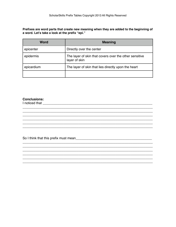Prefixes are word parts that create new meaning when they are added to the beginning of a word. Let's take a look at the prefix "epi."

| Word       | <b>Meaning</b>                                                          |
|------------|-------------------------------------------------------------------------|
| epicenter  | Directly over the center                                                |
| epidermis  | The layer of skin that covers over the other sensitive<br>layer of skin |
| epicardium | The layer of skin that lies directly upon the heart                     |
|            |                                                                         |

<u> 1989 - Johann Stoff, amerikansk politiker (d. 1989)</u>

# **Conclusions:**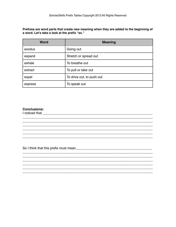Prefixes are word parts that create new meaning when they are added to the beginning of a word. Let's take a look at the prefix "ex."

| <b>Word</b> | <b>Meaning</b>            |
|-------------|---------------------------|
| exodus      | Going out                 |
| expand      | Stretch or spread out     |
| exhale      | To breathe out            |
| extract     | To pull or take out       |
| expel       | To drive out, to push out |
| express     | To speak out              |

# **Conclusions:**

I noticed that **contained** that **contained the contained and contained and contained and contained and contained and contained and contained and contained and contained and contained and contained and contained and contain**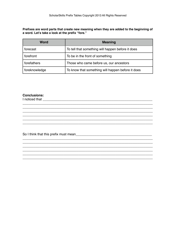Prefixes are word parts that create new meaning when they are added to the beginning of a word. Let's take a look at the prefix "fore."

| <b>Word</b>   | <b>Meaning</b>                                    |
|---------------|---------------------------------------------------|
| forecast      | To tell that something will happen before it does |
| forefront     | To be in the front of something                   |
| forefathers   | Those who came before us, our ancestors           |
| foreknowledge | To know that something will happen before it does |

## **Conclusions:**

I noticed that the contract of the contract of the contract of the contract of the contract of the contract of the contract of the contract of the contract of the contract of the contract of the contract of the contract of